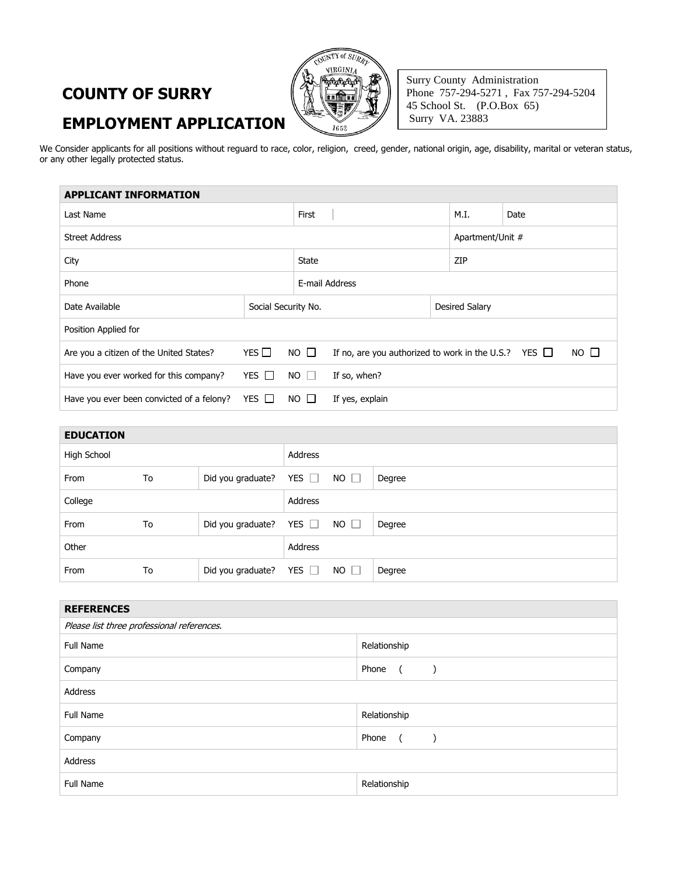## **COUNTY OF SURRY EMPLOYMENT APPLICATION**



Surry County Administration Phone 757-294-5271 , Fax 757-294-5204 45 School St. (P.O.Box 65) Surry VA. 23883

We Consider applicants for all positions without reguard to race, color, religion, creed, gender, national origin, age, disability, marital or veteran status, or any other legally protected status.

| <b>APPLICANT INFORMATION</b>              |                     |                       |                                                                          |     |                  |  |  |
|-------------------------------------------|---------------------|-----------------------|--------------------------------------------------------------------------|-----|------------------|--|--|
| Last Name                                 |                     |                       | First                                                                    |     | Date             |  |  |
| <b>Street Address</b>                     |                     |                       |                                                                          |     | Apartment/Unit # |  |  |
| City                                      |                     |                       |                                                                          | ZIP |                  |  |  |
| Phone                                     |                     |                       | E-mail Address                                                           |     |                  |  |  |
| Date Available                            | Social Security No. |                       | Desired Salary                                                           |     |                  |  |  |
| Position Applied for                      |                     |                       |                                                                          |     |                  |  |  |
| Are you a citizen of the United States?   | YES $\Box$          | $NO$ $\Box$           | $NO$ $\Box$<br>If no, are you authorized to work in the U.S.? YES $\Box$ |     |                  |  |  |
| Have you ever worked for this company?    | YES $\Box$          | $NO$ $\Box$           | If so, when?                                                             |     |                  |  |  |
| Have you ever been convicted of a felony? | YES $\Box$          | NO.<br>$\blacksquare$ | If yes, explain                                                          |     |                  |  |  |
|                                           |                     |                       |                                                                          |     |                  |  |  |

| <b>EDUCATION</b> |    |                              |            |             |        |
|------------------|----|------------------------------|------------|-------------|--------|
| High School      |    |                              | Address    |             |        |
| From             | To | Did you graduate? YES $\Box$ |            | $NO$ $\Box$ | Degree |
| College          |    |                              | Address    |             |        |
| From             | To | Did you graduate?            | YES $\Box$ | $NO$ $\Box$ | Degree |
| Other            |    |                              | Address    |             |        |
| From             | To | Did you graduate?            | YES $\Box$ | $NO$ $\Box$ | Degree |

| <b>REFERENCES</b>                          |                                          |  |  |  |
|--------------------------------------------|------------------------------------------|--|--|--|
| Please list three professional references. |                                          |  |  |  |
| <b>Full Name</b>                           | Relationship                             |  |  |  |
| Company                                    | Phone<br>$\sqrt{2}$                      |  |  |  |
| Address                                    |                                          |  |  |  |
| <b>Full Name</b>                           | Relationship                             |  |  |  |
| Company                                    | Phone<br>$\overline{a}$<br>$\rightarrow$ |  |  |  |
| Address                                    |                                          |  |  |  |
| <b>Full Name</b>                           | Relationship                             |  |  |  |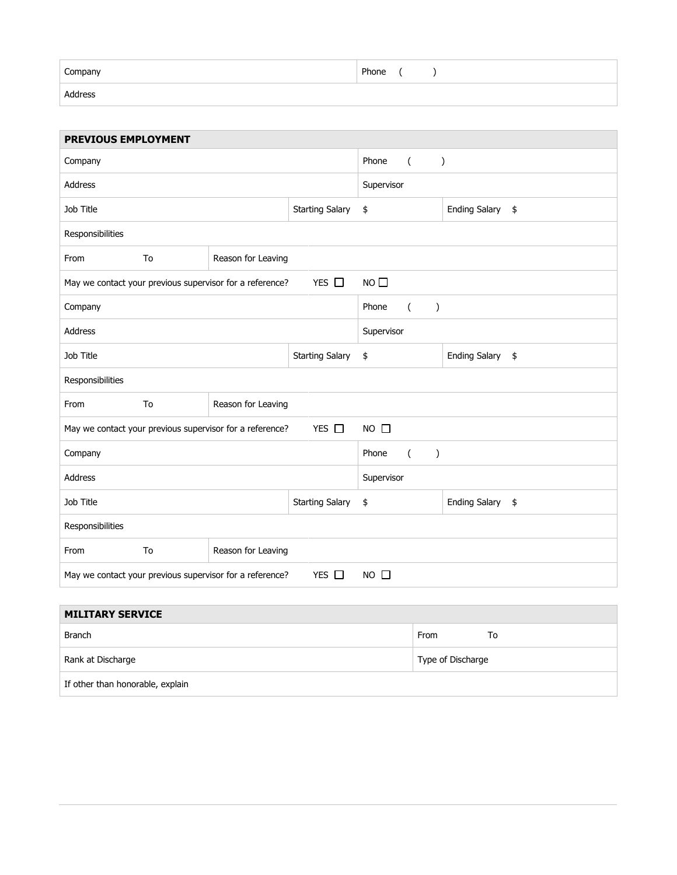| $\overline{\phantom{0}}$ |       |
|--------------------------|-------|
| Company                  | Phone |
| Address                  |       |

| <b>PREVIOUS EMPLOYMENT</b>                                                            |                          |                    |                                                     |                            |  |
|---------------------------------------------------------------------------------------|--------------------------|--------------------|-----------------------------------------------------|----------------------------|--|
| Company                                                                               |                          |                    | Phone<br>$\overline{(\ }$<br>$\mathcal{C}^{\prime}$ |                            |  |
| <b>Address</b>                                                                        |                          |                    | Supervisor                                          |                            |  |
| Job Title<br><b>Starting Salary</b>                                                   |                          |                    | \$                                                  | <b>Ending Salary</b><br>\$ |  |
| Responsibilities                                                                      |                          |                    |                                                     |                            |  |
| From                                                                                  | To<br>Reason for Leaving |                    |                                                     |                            |  |
| YES $\Box$<br>May we contact your previous supervisor for a reference?                |                          |                    | $NO$ $\Box$                                         |                            |  |
| Company                                                                               |                          |                    | Phone<br>$\left($<br>$\lambda$                      |                            |  |
| <b>Address</b>                                                                        |                          |                    | Supervisor                                          |                            |  |
| Job Title<br><b>Starting Salary</b>                                                   |                          |                    | \$                                                  | Ending Salary \$           |  |
| Responsibilities                                                                      |                          |                    |                                                     |                            |  |
| From                                                                                  | To                       | Reason for Leaving |                                                     |                            |  |
| YES O<br>$NO$ $\Box$<br>May we contact your previous supervisor for a reference?      |                          |                    |                                                     |                            |  |
| Company                                                                               |                          |                    | Phone<br>$\overline{(\ }$<br>$\mathcal{E}$          |                            |  |
| Address                                                                               |                          |                    | Supervisor                                          |                            |  |
| Job Title<br><b>Starting Salary</b>                                                   |                          | \$                 | <b>Ending Salary</b><br>\$                          |                            |  |
| Responsibilities                                                                      |                          |                    |                                                     |                            |  |
| From                                                                                  | To                       | Reason for Leaving |                                                     |                            |  |
| $NO$ $\Box$<br>YES $\Box$<br>May we contact your previous supervisor for a reference? |                          |                    |                                                     |                            |  |

| <b>MILITARY SERVICE</b>          |                   |  |  |  |
|----------------------------------|-------------------|--|--|--|
| <b>Branch</b>                    | From<br>To        |  |  |  |
| Rank at Discharge                | Type of Discharge |  |  |  |
| If other than honorable, explain |                   |  |  |  |